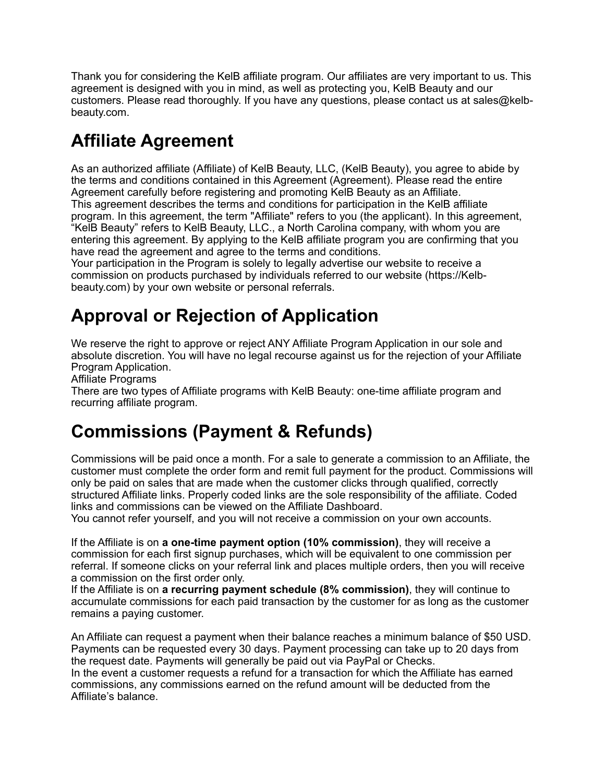Thank you for considering the KelB affiliate program. Our affiliates are very important to us. This agreement is designed with you in mind, as well as protecting you, KelB Beauty and our customers. Please read thoroughly. If you have any questions, please contact us at sales@kelbbeauty.com.

# **Affiliate Agreement**

As an authorized affiliate (Affiliate) of KelB Beauty, LLC, (KelB Beauty), you agree to abide by the terms and conditions contained in this Agreement (Agreement). Please read the entire Agreement carefully before registering and promoting KelB Beauty as an Affiliate. This agreement describes the terms and conditions for participation in the KelB affiliate program. In this agreement, the term "Affiliate" refers to you (the applicant). In this agreement, "KelB Beauty" refers to KelB Beauty, LLC., a North Carolina company, with whom you are entering this agreement. By applying to the KelB affiliate program you are confirming that you have read the agreement and agree to the terms and conditions.

Your participation in the Program is solely to legally advertise our website to receive a commission on products purchased by individuals referred to our website ([https://Kelb](https://Kelb-beauty.com)[beauty.com](https://Kelb-beauty.com)) by your own website or personal referrals.

# **Approval or Rejection of Application**

We reserve the right to approve or reject ANY Affiliate Program Application in our sole and absolute discretion. You will have no legal recourse against us for the rejection of your Affiliate Program Application.

Affiliate Programs

There are two types of Affiliate programs with KelB Beauty: one-time affiliate program and recurring affiliate program.

### **Commissions (Payment & Refunds)**

Commissions will be paid once a month. For a sale to generate a commission to an Affiliate, the customer must complete the order form and remit full payment for the product. Commissions will only be paid on sales that are made when the customer clicks through qualified, correctly structured Affiliate links. Properly coded links are the sole responsibility of the affiliate. Coded links and commissions can be viewed on the Affiliate Dashboard.

You cannot refer yourself, and you will not receive a commission on your own accounts.

If the Affiliate is on **a one-time payment option (10% commission)**, they will receive a commission for each first signup purchases, which will be equivalent to one commission per referral. If someone clicks on your referral link and places multiple orders, then you will receive a commission on the first order only.

If the Affiliate is on **a recurring payment schedule (8% commission)**, they will continue to accumulate commissions for each paid transaction by the customer for as long as the customer remains a paying customer.

An Affiliate can request a payment when their balance reaches a minimum balance of \$50 USD. Payments can be requested every 30 days. Payment processing can take up to 20 days from the request date. Payments will generally be paid out via PayPal or Checks. In the event a customer requests a refund for a transaction for which the Affiliate has earned commissions, any commissions earned on the refund amount will be deducted from the Affiliate's balance.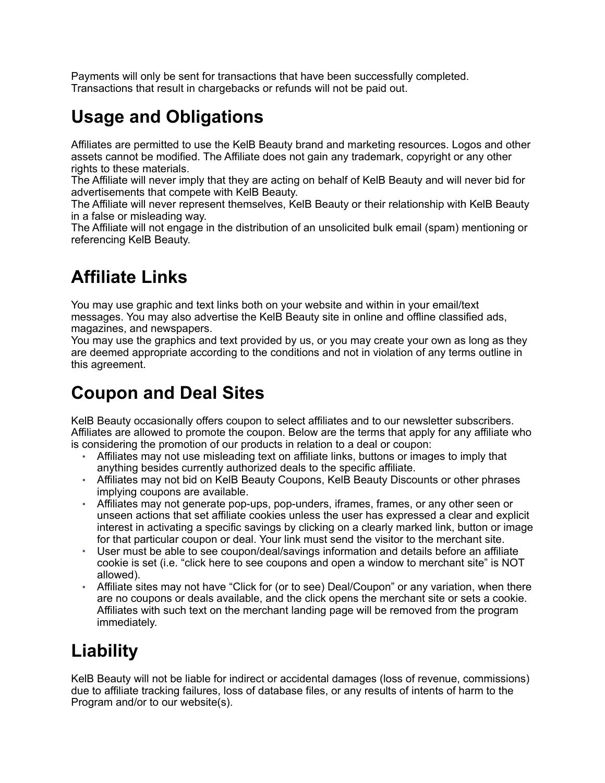Payments will only be sent for transactions that have been successfully completed. Transactions that result in chargebacks or refunds will not be paid out.

# **Usage and Obligations**

Affiliates are permitted to use the KelB Beauty brand and marketing resources. Logos and other assets cannot be modified. The Affiliate does not gain any trademark, copyright or any other rights to these materials.

The Affiliate will never imply that they are acting on behalf of KelB Beauty and will never bid for advertisements that compete with KelB Beauty.

The Affiliate will never represent themselves, KelB Beauty or their relationship with KelB Beauty in a false or misleading way.

The Affiliate will not engage in the distribution of an unsolicited bulk email (spam) mentioning or referencing KelB Beauty.

# **Affiliate Links**

You may use graphic and text links both on your website and within in your email/text messages. You may also advertise the KelB Beauty site in online and offline classified ads, magazines, and newspapers.

You may use the graphics and text provided by us, or you may create your own as long as they are deemed appropriate according to the conditions and not in violation of any terms outline in this agreement.

# **Coupon and Deal Sites**

KelB Beauty occasionally offers coupon to select affiliates and to our newsletter subscribers. Affiliates are allowed to promote the coupon. Below are the terms that apply for any affiliate who is considering the promotion of our products in relation to a deal or coupon:

- Affiliates may not use misleading text on affiliate links, buttons or images to imply that anything besides currently authorized deals to the specific affiliate.
- Affiliates may not bid on KelB Beauty Coupons, KelB Beauty Discounts or other phrases implying coupons are available.
- Affiliates may not generate pop-ups, pop-unders, iframes, frames, or any other seen or unseen actions that set affiliate cookies unless the user has expressed a clear and explicit interest in activating a specific savings by clicking on a clearly marked link, button or image for that particular coupon or deal. Your link must send the visitor to the merchant site.
- User must be able to see coupon/deal/savings information and details before an affiliate cookie is set (i.e. "click here to see coupons and open a window to merchant site" is NOT allowed).
- Affiliate sites may not have "Click for (or to see) Deal/Coupon" or any variation, when there are no coupons or deals available, and the click opens the merchant site or sets a cookie. Affiliates with such text on the merchant landing page will be removed from the program immediately.

# **Liability**

KelB Beauty will not be liable for indirect or accidental damages (loss of revenue, commissions) due to affiliate tracking failures, loss of database files, or any results of intents of harm to the Program and/or to our website(s).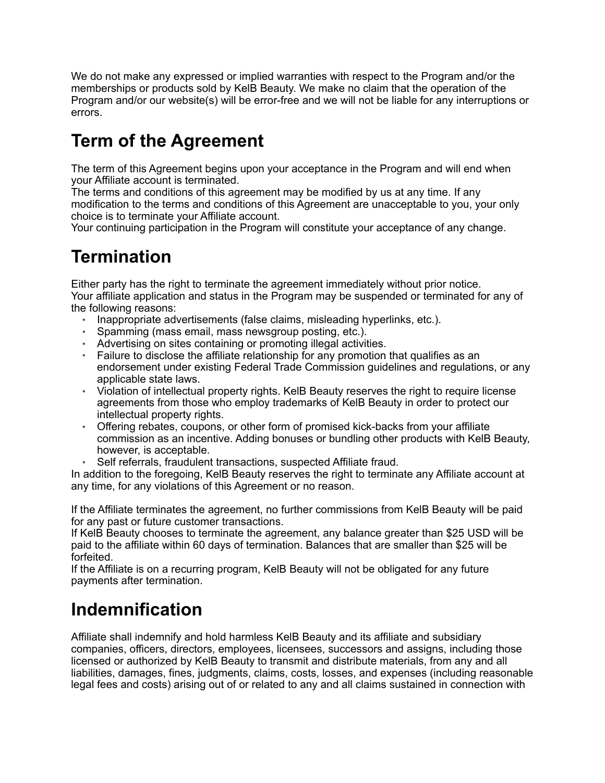We do not make any expressed or implied warranties with respect to the Program and/or the memberships or products sold by KelB Beauty. We make no claim that the operation of the Program and/or our website(s) will be error-free and we will not be liable for any interruptions or errors.

# **Term of the Agreement**

The term of this Agreement begins upon your acceptance in the Program and will end when your Affiliate account is terminated.

The terms and conditions of this agreement may be modified by us at any time. If any modification to the terms and conditions of this Agreement are unacceptable to you, your only choice is to terminate your Affiliate account.

Your continuing participation in the Program will constitute your acceptance of any change.

# **Termination**

Either party has the right to terminate the agreement immediately without prior notice. Your affiliate application and status in the Program may be suspended or terminated for any of the following reasons:

- Inappropriate advertisements (false claims, misleading hyperlinks, etc.).
- Spamming (mass email, mass newsgroup posting, etc.).
- Advertising on sites containing or promoting illegal activities.
- Failure to disclose the affiliate relationship for any promotion that qualifies as an endorsement under existing Federal Trade Commission guidelines and regulations, or any applicable state laws.
- Violation of intellectual property rights. KelB Beauty reserves the right to require license agreements from those who employ trademarks of KelB Beauty in order to protect our intellectual property rights.
- Offering rebates, coupons, or other form of promised kick-backs from your affiliate commission as an incentive. Adding bonuses or bundling other products with KelB Beauty, however, is acceptable.
- Self referrals, fraudulent transactions, suspected Affiliate fraud.

In addition to the foregoing, KelB Beauty reserves the right to terminate any Affiliate account at any time, for any violations of this Agreement or no reason.

If the Affiliate terminates the agreement, no further commissions from KelB Beauty will be paid for any past or future customer transactions.

If KelB Beauty chooses to terminate the agreement, any balance greater than \$25 USD will be paid to the affiliate within 60 days of termination. Balances that are smaller than \$25 will be forfeited.

If the Affiliate is on a recurring program, KelB Beauty will not be obligated for any future payments after termination.

### **Indemnification**

Affiliate shall indemnify and hold harmless KelB Beauty and its affiliate and subsidiary companies, officers, directors, employees, licensees, successors and assigns, including those licensed or authorized by KelB Beauty to transmit and distribute materials, from any and all liabilities, damages, fines, judgments, claims, costs, losses, and expenses (including reasonable legal fees and costs) arising out of or related to any and all claims sustained in connection with